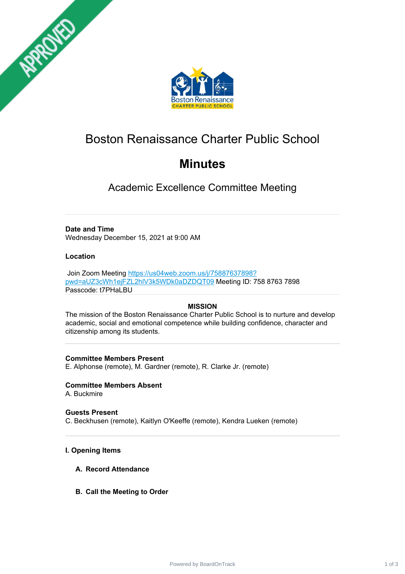



# Boston Renaissance Charter Public School

# **Minutes**

Academic Excellence Committee Meeting

# **Date and Time**

Wednesday December 15, 2021 at 9:00 AM

# **Location**

Join Zoom Meeting [https://us04web.zoom.us/j/75887637898?](https://us04web.zoom.us/j/75887637898?pwd=aUZ3cWh1ejFZL2hlV3k5WDk0aDZDQT09) pwd=aUZ3cWh1ejFZL2hlV3k5WDk0aDZDQT09 Meeting ID: 758 8763 7898 Passcode: t7PHaLBU

# **MISSION**

The mission of the Boston Renaissance Charter Public School is to nurture and develop academic, social and emotional competence while building confidence, character and citizenship among its students.

# **Committee Members Present**

E. Alphonse (remote), M. Gardner (remote), R. Clarke Jr. (remote)

# **Committee Members Absent**

A. Buckmire

**Guests Present** C. Beckhusen (remote), Kaitlyn O'Keeffe (remote), Kendra Lueken (remote)

# **I. Opening Items**

- **A. Record Attendance**
- **B. Call the Meeting to Order**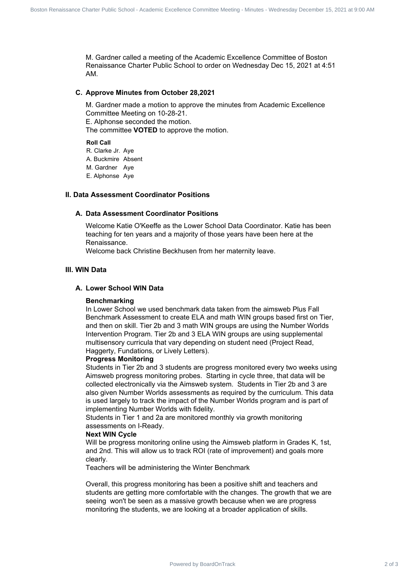M. Gardner called a meeting of the Academic Excellence Committee of Boston Renaissance Charter Public School to order on Wednesday Dec 15, 2021 at 4:51 AM.

#### **C. Approve Minutes from October 28,2021**

M. Gardner made a motion to approve the minutes from Academic Excellence Committee Meeting on 10-28-21. E. Alphonse seconded the motion. The committee **VOTED** to approve the motion.

**Roll Call** R. Clarke Jr. Aye A. Buckmire Absent M. Gardner Aye E. Alphonse Aye

#### **II. Data Assessment Coordinator Positions**

## **A. Data Assessment Coordinator Positions**

Welcome Katie O'Keeffe as the Lower School Data Coordinator. Katie has been teaching for ten years and a majority of those years have been here at the Renaissance.

Welcome back Christine Beckhusen from her maternity leave.

#### **III. WIN Data**

## **A. Lower School WIN Data**

#### **Benchmarking**

In Lower School we used benchmark data taken from the aimsweb Plus Fall Benchmark Assessment to create ELA and math WIN groups based first on Tier, and then on skill. Tier 2b and 3 math WIN groups are using the Number Worlds Intervention Program. Tier 2b and 3 ELA WIN groups are using supplemental multisensory curricula that vary depending on student need (Project Read, Haggerty, Fundations, or Lively Letters).

#### **Progress Monitoring**

Students in Tier 2b and 3 students are progress monitored every two weeks using Aimsweb progress monitoring probes. Starting in cycle three, that data will be collected electronically via the Aimsweb system. Students in Tier 2b and 3 are also given Number Worlds assessments as required by the curriculum. This data is used largely to track the impact of the Number Worlds program and is part of implementing Number Worlds with fidelity. Power Commic School - State Charter Charter Charter Commission Renaissance Charter Charter Charter Charter Charter Charter Charter Charter Charter Charter Charter Charter Charter Charter Charter Charter Charter Charter Cha

Students in Tier 1 and 2a are monitored monthly via growth monitoring assessments on I-Ready.

#### **Next WIN Cycle**

Will be progress monitoring online using the Aimsweb platform in Grades K, 1st, and 2nd. This will allow us to track ROI (rate of improvement) and goals more clearly.

Teachers will be administering the Winter Benchmark

Overall, this progress monitoring has been a positive shift and teachers and students are getting more comfortable with the changes. The growth that we are seeing won't be seen as a massive growth because when we are progress monitoring the students, we are looking at a broader application of skills.